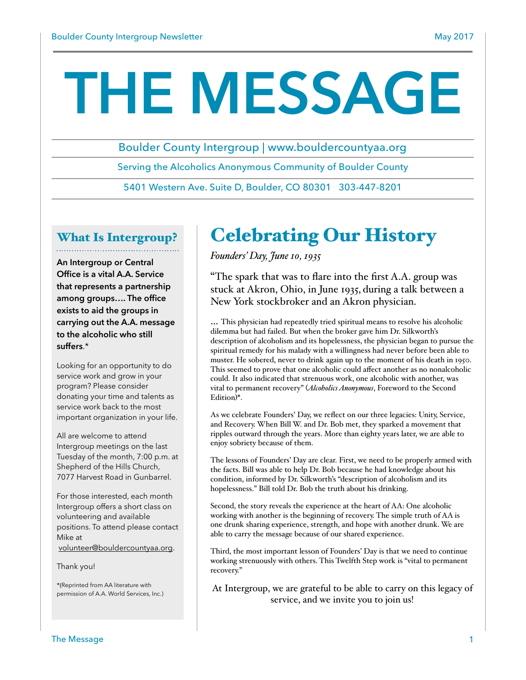# **THE MESSAGE**

Boulder County Intergroup | www.bouldercountyaa.org

Serving the Alcoholics Anonymous Community of Boulder County

5401 Western Ave. Suite D, Boulder, CO 80301 303-447-8201

# What Is Intergroup?

**An Intergroup or Central Office is a vital A.A. Service that represents a partnership among groups…. The office exists to aid the groups in carrying out the A.A. message to the alcoholic who still suffers**.\*

Looking for an opportunity to do service work and grow in your program? Please consider donating your time and talents as service work back to the most important organization in your life.

All are welcome to attend Intergroup meetings on the last Tuesday of the month, 7:00 p.m. at Shepherd of the Hills Church, 7077 Harvest Road in Gunbarrel.

For those interested, each month Intergroup offers a short class on volunteering and available positions. To attend please contact Mike at [volunteer@bouldercountyaa.org](mailto:volunteer@bouldercountyaa.com?subject=).

Thank you!

\*(Reprinted from AA literature with permission of A.A. World Services, Inc.)

# Celebrating Our History

*Founders' Day, June 10, 1935*

"The spark that was to flare into the first A.A. group was stuck at Akron, Ohio, in June 1935, during a talk between a New York stockbroker and an Akron physician.

… This physician had repeatedly tried spiritual means to resolve his alcoholic dilemma but had failed. But when the broker gave him Dr. Silkworth's description of alcoholism and its hopelessness, the physician began to pursue the spiritual remedy for his malady with a willingness had never before been able to muster. He sobered, never to drink again up to the moment of his death in 1950. This seemed to prove that one alcoholic could affect another as no nonalcoholic could. It also indicated that strenuous work, one alcoholic with another, was vital to permanent recovery" (*Alcoholics Anonymous*, Foreword to the Second Edition)\*.

As we celebrate Founders' Day, we reflect on our three legacies: Unity, Service, and Recovery. When Bill W. and Dr. Bob met, they sparked a movement that ripples outward through the years. More than eighty years later, we are able to enjoy sobriety because of them.

The lessons of Founders' Day are clear. First, we need to be properly armed with the facts. Bill was able to help Dr. Bob because he had knowledge about his condition, informed by Dr. Silkworth's "description of alcoholism and its hopelessness." Bill told Dr. Bob the truth about his drinking.

Second, the story reveals the experience at the heart of AA: One alcoholic working with another is the beginning of recovery. The simple truth of AA is one drunk sharing experience, strength, and hope with another drunk. We are able to carry the message because of our shared experience.

Third, the most important lesson of Founders' Day is that we need to continue working strenuously with others. This Twelfth Step work is "vital to permanent recovery."

At Intergroup, we are grateful to be able to carry on this legacy of service, and we invite you to join us!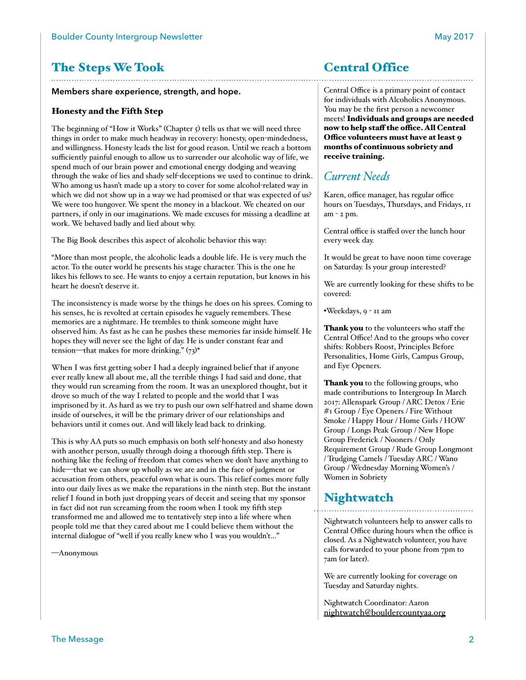# The Steps We Took

#### **Members share experience, strength, and hope.**

#### Honesty and the Fifth Step

The beginning of "How it Works" (Chapter  $\varsigma$ ) tells us that we will need three things in order to make much headway in recovery: honesty, open-mindedness, and willingness. Honesty leads the list for good reason. Until we reach a bottom sufficiently painful enough to allow us to surrender our alcoholic way of life, we spend much of our brain power and emotional energy dodging and weaving through the wake of lies and shady self-deceptions we used to continue to drink. Who among us hasn't made up a story to cover for some alcohol-related way in which we did not show up in a way we had promised or that was expected of us? We were too hungover. We spent the money in a blackout. We cheated on our partners, if only in our imaginations. We made excuses for missing a deadline at work. We behaved badly and lied about why.

The Big Book describes this aspect of alcoholic behavior this way:

"More than most people, the alcoholic leads a double life. He is very much the actor. To the outer world he presents his stage character. This is the one he likes his fellows to see. He wants to enjoy a certain reputation, but knows in his heart he doesn't deserve it.

The inconsistency is made worse by the things he does on his sprees. Coming to his senses, he is revolted at certain episodes he vaguely remembers. These memories are a nightmare. He trembles to think someone might have observed him. As fast as he can he pushes these memories far inside himself. He hopes they will never see the light of day. He is under constant fear and tension—that makes for more drinking."  $(73)^*$ 

When I was first getting sober I had a deeply ingrained belief that if anyone ever really knew all about me, all the terrible things I had said and done, that they would run screaming from the room. It was an unexplored thought, but it drove so much of the way I related to people and the world that I was imprisoned by it. As hard as we try to push our own self-hatred and shame down inside of ourselves, it will be the primary driver of our relationships and behaviors until it comes out. And will likely lead back to drinking.

This is why AA puts so much emphasis on both self-honesty and also honesty with another person, usually through doing a thorough fifth step. There is nothing like the feeling of freedom that comes when we don't have anything to hide—that we can show up wholly as we are and in the face of judgment or accusation from others, peaceful own what is ours. This relief comes more fully into our daily lives as we make the reparations in the ninth step. But the instant relief I found in both just dropping years of deceit and seeing that my sponsor in fact did not run screaming from the room when I took my fifth step transformed me and allowed me to tentatively step into a life where when people told me that they cared about me I could believe them without the internal dialogue of "well if you really knew who I was you wouldn't…"

—Anonymous

# Central Office

Central Office is a primary point of contact for individuals with Alcoholics Anonymous. You may be the first person a newcomer meets! Individuals and groups are needed now to help staff the office. All Central Office volunteers must have at least 9 months of continuous sobriety and receive training.

## *Current Needs*

Karen, office manager, has regular office hours on Tuesdays, Thursdays, and Fridays, 11 am - 2 pm.

Central office is staffed over the lunch hour every week day.

It would be great to have noon time coverage on Saturday. Is your group interested?

We are currently looking for these shifts to be covered:

•Weekdays, 9 - 11 am

Thank you to the volunteers who staff the Central Office! And to the groups who cover shifts: Robbers Roost, Principles Before Personalities, Home Girls, Campus Group, and Eye Openers.

Thank you to the following groups, who made contributions to Intergroup In March 2017: Allenspark Group / ARC Detox / Erie #1 Group / Eye Openers / Fire Without Smoke / Happy Hour / Home Girls / HOW Group / Longs Peak Group / New Hope Group Frederick / Nooners / Only Requirement Group / Rude Group Longmont / Trudging Camels / Tuesday ARC / Wano Group / Wednesday Morning Women's / Women in Sobriety

## **Nightwatch**

Nightwatch volunteers help to answer calls to Central Office during hours when the office is closed. As a Nightwatch volunteer, you have calls forwarded to your phone from 7pm to 7am (or later).

We are currently looking for coverage on Tuesday and Saturday nights.

Nightwatch Coordinator: Aaron [nightwatch@bouldercountyaa.org](mailto:nightwatch@bouldercountyaa.com?subject=)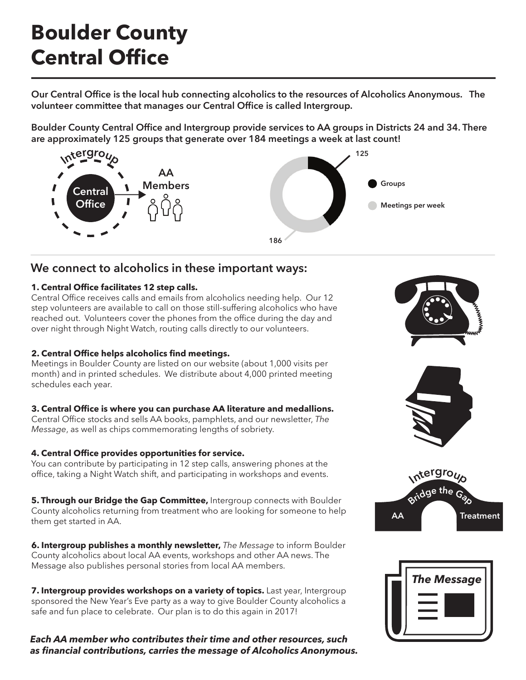# **Boulder County Central Office**

**Our Central Office is the local hub connecting alcoholics to the resources of Alcoholics Anonymous. The volunteer committee that manages our Central Office is called Intergroup.** 

**Boulder County Central Office and Intergroup provide services to AA groups in Districts 24 and 34. There are approximately 125 groups that generate over 184 meetings a week at last count!** 



# **We connect to alcoholics in these important ways:**

#### **1. Central Office facilitates 12 step calls.**

Central Office receives calls and emails from alcoholics needing help. Our 12 step volunteers are available to call on those still-suffering alcoholics who have reached out. Volunteers cover the phones from the office during the day and over night through Night Watch, routing calls directly to our volunteers.

#### **2. Central Office helps alcoholics find meetings.**

Meetings in Boulder County are listed on our website (about 1,000 visits per month) and in printed schedules. We distribute about 4,000 printed meeting schedules each year.

#### **3. Central Office is where you can purchase AA literature and medallions.**

Central Office stocks and sells AA books, pamphlets, and our newsletter, *The Message*, as well as chips commemorating lengths of sobriety.

#### **4. Central Office provides opportunities for service.**

You can contribute by participating in 12 step calls, answering phones at the office, taking a Night Watch shift, and participating in workshops and events.

**5. Through our Bridge the Gap Committee,** Intergroup connects with Boulder County alcoholics returning from treatment who are looking for someone to help them get started in AA.

**6. Intergroup publishes a monthly newsletter,** *The Message* to inform Boulder County alcoholics about local AA events, workshops and other AA news. The Message also publishes personal stories from local AA members.

**7. Intergroup provides workshops on a variety of topics.** Last year, Intergroup sponsored the New Year's Eve party as a way to give Boulder County alcoholics a safe and fun place to celebrate. Our plan is to do this again in 2017!

*Each AA member who contributes their time and other resources, such as financial contributions, carries the message of Alcoholics Anonymous.*